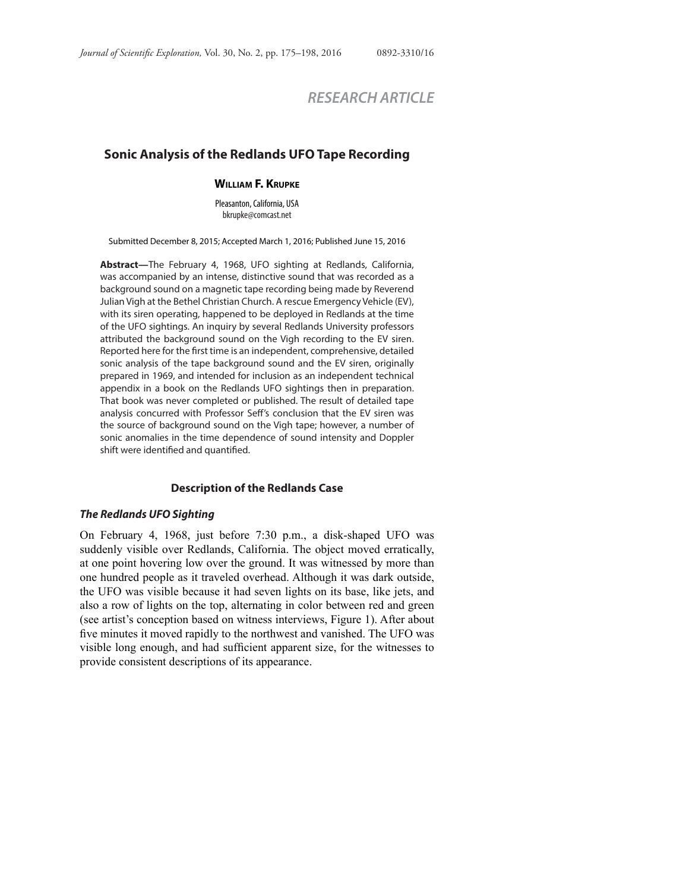# *RESEARCH ARTICLE*

## **Sonic Analysis of the Redlands UFO Tape Recording**

#### **WILLIAM F. KRUPKE**

Pleasanton, California, USA bkrupke@comcast.net

Submitted December 8, 2015; Accepted March 1, 2016; Published June 15, 2016

**Abstract—**The February 4, 1968, UFO sighting at Redlands, California, was accompanied by an intense, distinctive sound that was recorded as a background sound on a magnetic tape recording being made by Reverend Julian Vigh at the Bethel Christian Church. A rescue Emergency Vehicle (EV), with its siren operating, happened to be deployed in Redlands at the time of the UFO sightings. An inquiry by several Redlands University professors attributed the background sound on the Vigh recording to the EV siren. Reported here for the first time is an independent, comprehensive, detailed sonic analysis of the tape background sound and the EV siren, originally prepared in 1969, and intended for inclusion as an independent technical appendix in a book on the Redlands UFO sightings then in preparation. That book was never completed or published. The result of detailed tape analysis concurred with Professor Seff 's conclusion that the EV siren was the source of background sound on the Vigh tape; however, a number of sonic anomalies in the time dependence of sound intensity and Doppler shift were identified and quantified.

#### **Description of the Redlands Case**

#### **The Redlands UFO Sighting**

On February 4, 1968, just before 7:30 p.m., a disk-shaped UFO was suddenly visible over Redlands, California. The object moved erratically, at one point hovering low over the ground. It was witnessed by more than one hundred people as it traveled overhead. Although it was dark outside, the UFO was visible because it had seven lights on its base, like jets, and also a row of lights on the top, alternating in color between red and green (see artist's conception based on witness interviews, Figure 1). After about five minutes it moved rapidly to the northwest and vanished. The UFO was visible long enough, and had sufficient apparent size, for the witnesses to provide consistent descriptions of its appearance.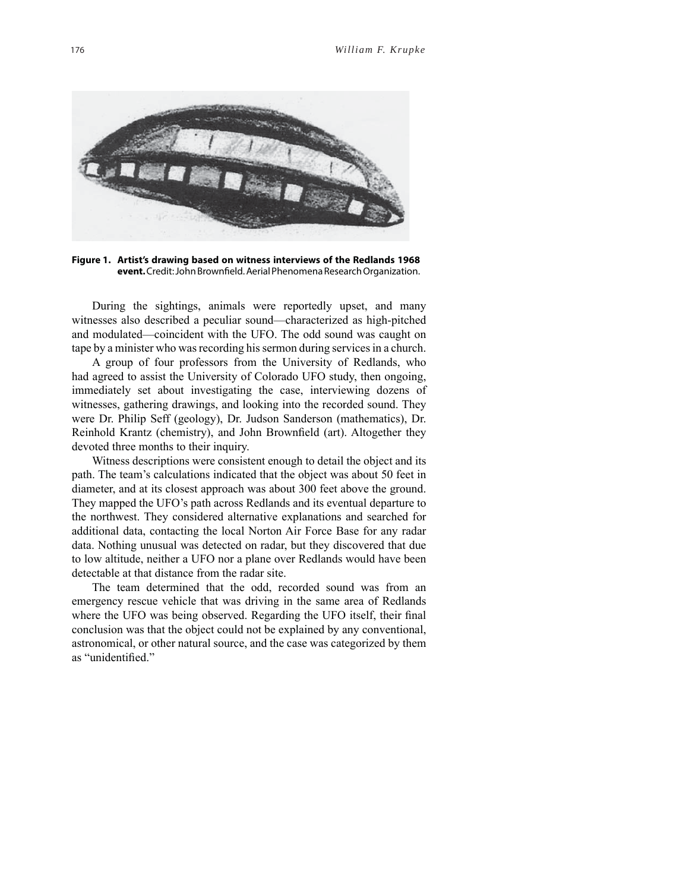

**Figure 1. Artist's drawing based on witness interviews of the Redlands 1968**  event. Credit: John Brownfield. Aerial Phenomena Research Organization.

During the sightings, animals were reportedly upset, and many witnesses also described a peculiar sound—characterized as high-pitched and modulated—coincident with the UFO. The odd sound was caught on tape by a minister who was recording his sermon during services in a church.

A group of four professors from the University of Redlands, who had agreed to assist the University of Colorado UFO study, then ongoing, immediately set about investigating the case, interviewing dozens of witnesses, gathering drawings, and looking into the recorded sound. They were Dr. Philip Seff (geology), Dr. Judson Sanderson (mathematics), Dr. Reinhold Krantz (chemistry), and John Brownfield (art). Altogether they devoted three months to their inquiry.

Witness descriptions were consistent enough to detail the object and its path. The team's calculations indicated that the object was about 50 feet in diameter, and at its closest approach was about 300 feet above the ground. They mapped the UFO's path across Redlands and its eventual departure to the northwest. They considered alternative explanations and searched for additional data, contacting the local Norton Air Force Base for any radar data. Nothing unusual was detected on radar, but they discovered that due to low altitude, neither a UFO nor a plane over Redlands would have been detectable at that distance from the radar site.

The team determined that the odd, recorded sound was from an emergency rescue vehicle that was driving in the same area of Redlands where the UFO was being observed. Regarding the UFO itself, their final conclusion was that the object could not be explained by any conventional, astronomical, or other natural source, and the case was categorized by them as "unidentified."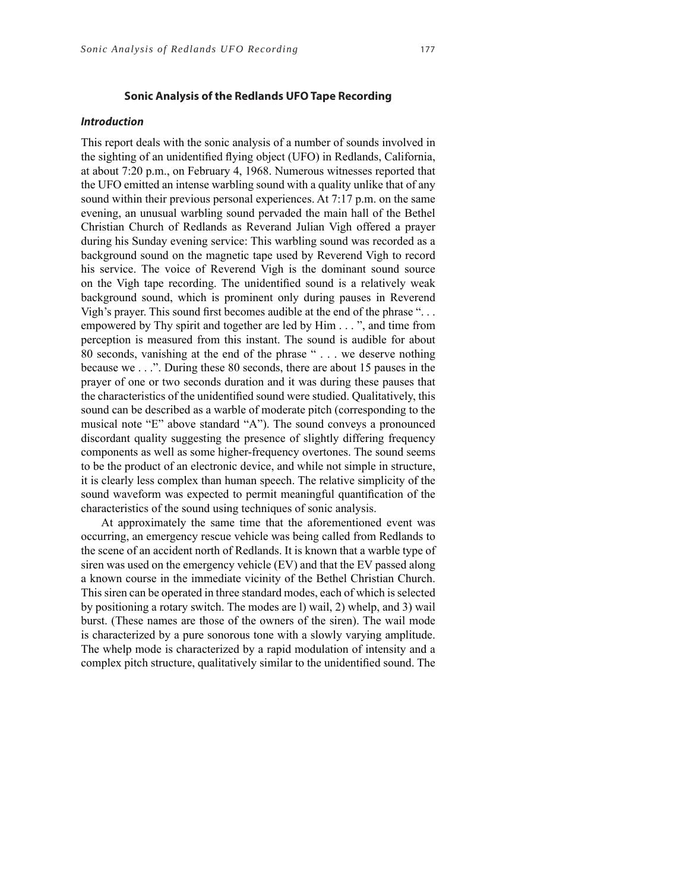## **Sonic Analysis of the Redlands UFO Tape Recording**

#### **Introduction**

This report deals with the sonic analysis of a number of sounds involved in the sighting of an unidentified flying object (UFO) in Redlands, California, at about 7:20 p.m., on February 4, 1968. Numerous witnesses reported that the UFO emitted an intense warbling sound with a quality unlike that of any sound within their previous personal experiences. At 7:17 p.m. on the same evening, an unusual warbling sound pervaded the main hall of the Bethel Christian Church of Redlands as Reverand Julian Vigh offered a prayer during his Sunday evening service: This warbling sound was recorded as a background sound on the magnetic tape used by Reverend Vigh to record his service. The voice of Reverend Vigh is the dominant sound source on the Vigh tape recording. The unidentified sound is a relatively weak background sound, which is prominent only during pauses in Reverend Vigh's prayer. This sound first becomes audible at the end of the phrase " $\ldots$ empowered by Thy spirit and together are led by Him . . . ", and time from perception is measured from this instant. The sound is audible for about 80 seconds, vanishing at the end of the phrase " . . . we deserve nothing because we . . .". During these 80 seconds, there are about 15 pauses in the prayer of one or two seconds duration and it was during these pauses that the characteristics of the unidentified sound were studied. Qualitatively, this sound can be described as a warble of moderate pitch (corresponding to the musical note "E" above standard "A"). The sound conveys a pronounced discordant quality suggesting the presence of slightly differing frequency components as well as some higher-frequency overtones. The sound seems to be the product of an electronic device, and while not simple in structure, it is clearly less complex than human speech. The relative simplicity of the sound waveform was expected to permit meaningful quantification of the characteristics of the sound using techniques of sonic analysis.

At approximately the same time that the aforementioned event was occurring, an emergency rescue vehicle was being called from Redlands to the scene of an accident north of Redlands. It is known that a warble type of siren was used on the emergency vehicle (EV) and that the EV passed along a known course in the immediate vicinity of the Bethel Christian Church. This siren can be operated in three standard modes, each of which is selected by positioning a rotary switch. The modes are l) wail, 2) whelp, and 3) wail burst. (These names are those of the owners of the siren). The wail mode is characterized by a pure sonorous tone with a slowly varying amplitude. The whelp mode is characterized by a rapid modulation of intensity and a complex pitch structure, qualitatively similar to the unidentified sound. The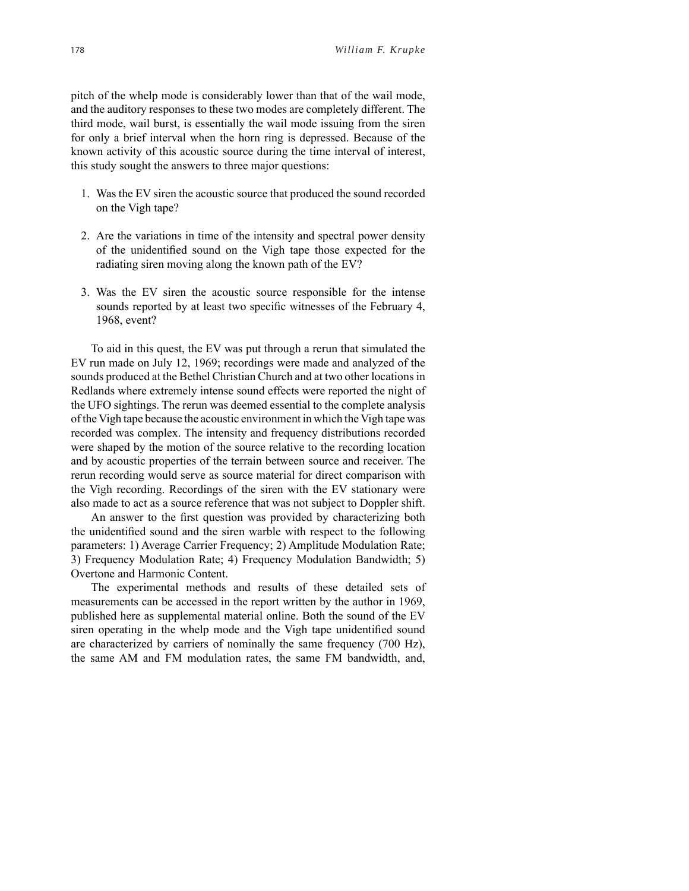pitch of the whelp mode is considerably lower than that of the wail mode, and the auditory responses to these two modes are completely different. The third mode, wail burst, is essentially the wail mode issuing from the siren for only a brief interval when the horn ring is depressed. Because of the known activity of this acoustic source during the time interval of interest, this study sought the answers to three major questions:

- 1. Was the EV siren the acoustic source that produced the sound recorded on the Vigh tape?
- 2. Are the variations in time of the intensity and spectral power density of the unidentified sound on the Vigh tape those expected for the radiating siren moving along the known path of the EV?
- 3. Was the EV siren the acoustic source responsible for the intense sounds reported by at least two specific witnesses of the February 4, 1968, event?

To aid in this quest, the EV was put through a rerun that simulated the EV run made on July 12, 1969; recordings were made and analyzed of the sounds produced at the Bethel Christian Church and at two other locations in Redlands where extremely intense sound effects were reported the night of the UFO sightings. The rerun was deemed essential to the complete analysis of the Vigh tape because the acoustic environment in which the Vigh tape was recorded was complex. The intensity and frequency distributions recorded were shaped by the motion of the source relative to the recording location and by acoustic properties of the terrain between source and receiver. The rerun recording would serve as source material for direct comparison with the Vigh recording. Recordings of the siren with the EV stationary were also made to act as a source reference that was not subject to Doppler shift.

An answer to the first question was provided by characterizing both the unidentified sound and the siren warble with respect to the following parameters: 1) Average Carrier Frequency; 2) Amplitude Modulation Rate; 3) Frequency Modulation Rate; 4) Frequency Modulation Bandwidth; 5) Overtone and Harmonic Content.

The experimental methods and results of these detailed sets of measurements can be accessed in the report written by the author in 1969, published here as supplemental material online. Both the sound of the EV siren operating in the whelp mode and the Vigh tape unidentified sound are characterized by carriers of nominally the same frequency (700 Hz), the same AM and FM modulation rates, the same FM bandwidth, and,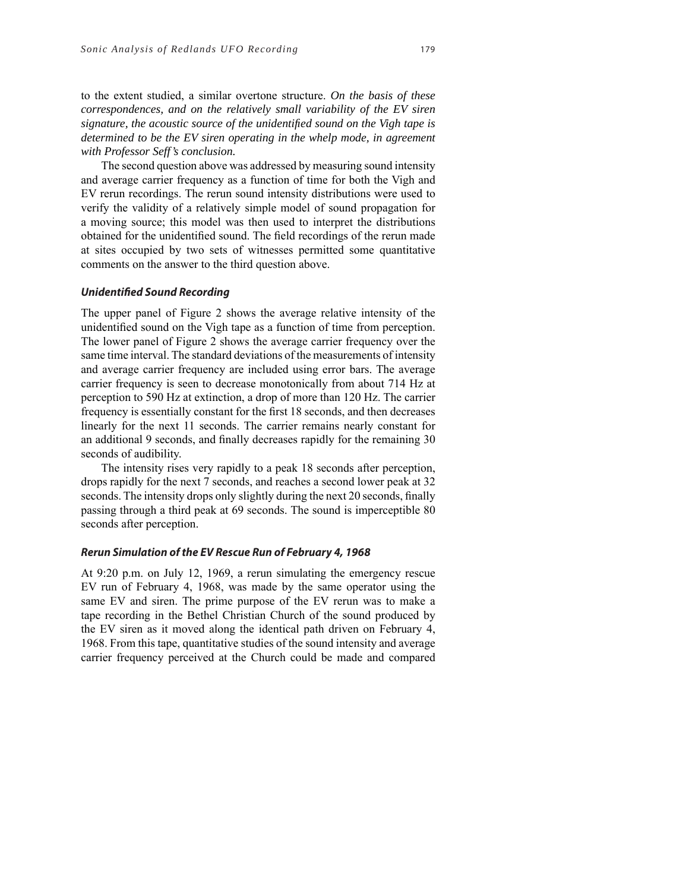to the extent studied, a similar overtone structure. *On the basis of these correspondences, and on the relatively small variability of the EV siren signature, the acoustic source of the unidentifi ed sound on the Vigh tape is determined to be the EV siren operating in the whelp mode, in agreement with Professor Seff's conclusion.*

The second question above was addressed by measuring sound intensity and average carrier frequency as a function of time for both the Vigh and EV rerun recordings. The rerun sound intensity distributions were used to verify the validity of a relatively simple model of sound propagation for a moving source; this model was then used to interpret the distributions obtained for the unidentified sound. The field recordings of the rerun made at sites occupied by two sets of witnesses permitted some quantitative comments on the answer to the third question above.

#### **Unidentified Sound Recording**

The upper panel of Figure 2 shows the average relative intensity of the unidentified sound on the Vigh tape as a function of time from perception. The lower panel of Figure 2 shows the average carrier frequency over the same time interval. The standard deviations of the measurements of intensity and average carrier frequency are included using error bars. The average carrier frequency is seen to decrease monotonically from about 714 Hz at perception to 590 Hz at extinction, a drop of more than 120 Hz. The carrier frequency is essentially constant for the first 18 seconds, and then decreases linearly for the next 11 seconds. The carrier remains nearly constant for an additional 9 seconds, and finally decreases rapidly for the remaining 30 seconds of audibility.

The intensity rises very rapidly to a peak 18 seconds after perception, drops rapidly for the next 7 seconds, and reaches a second lower peak at 32 seconds. The intensity drops only slightly during the next 20 seconds, finally passing through a third peak at 69 seconds. The sound is imperceptible 80 seconds after perception.

#### **Rerun Simulation of the EV Rescue Run of February 4, 1968**

At 9:20 p.m. on July 12, 1969, a rerun simulating the emergency rescue EV run of February 4, 1968, was made by the same operator using the same EV and siren. The prime purpose of the EV rerun was to make a tape recording in the Bethel Christian Church of the sound produced by the EV siren as it moved along the identical path driven on February 4, 1968. From this tape, quantitative studies of the sound intensity and average carrier frequency perceived at the Church could be made and compared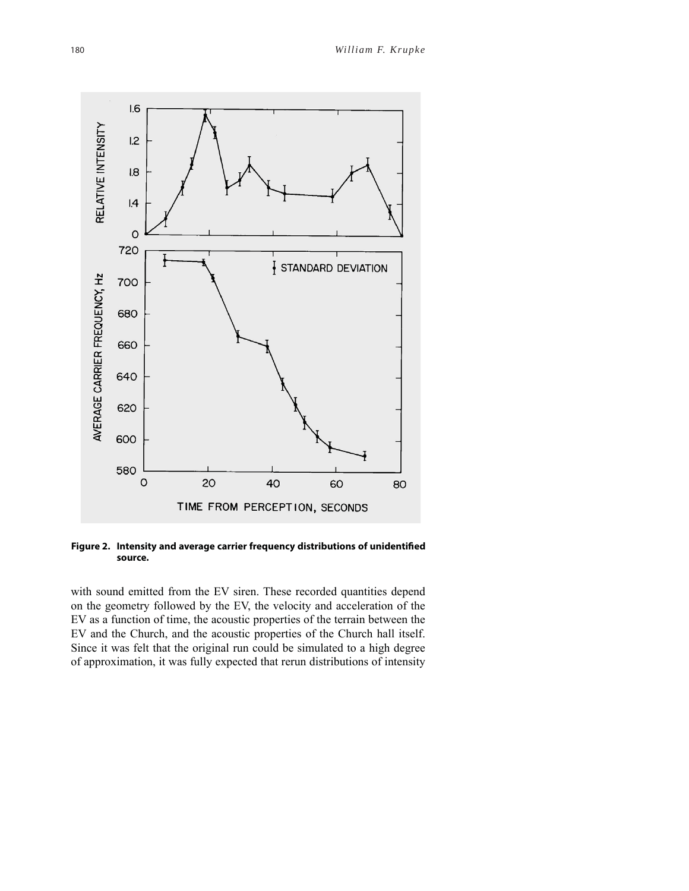

Figure 2. Intensity and average carrier frequency distributions of unidentified **source.**

with sound emitted from the EV siren. These recorded quantities depend on the geometry followed by the EV, the velocity and acceleration of the EV as a function of time, the acoustic properties of the terrain between the EV and the Church, and the acoustic properties of the Church hall itself. Since it was felt that the original run could be simulated to a high degree of approximation, it was fully expected that rerun distributions of intensity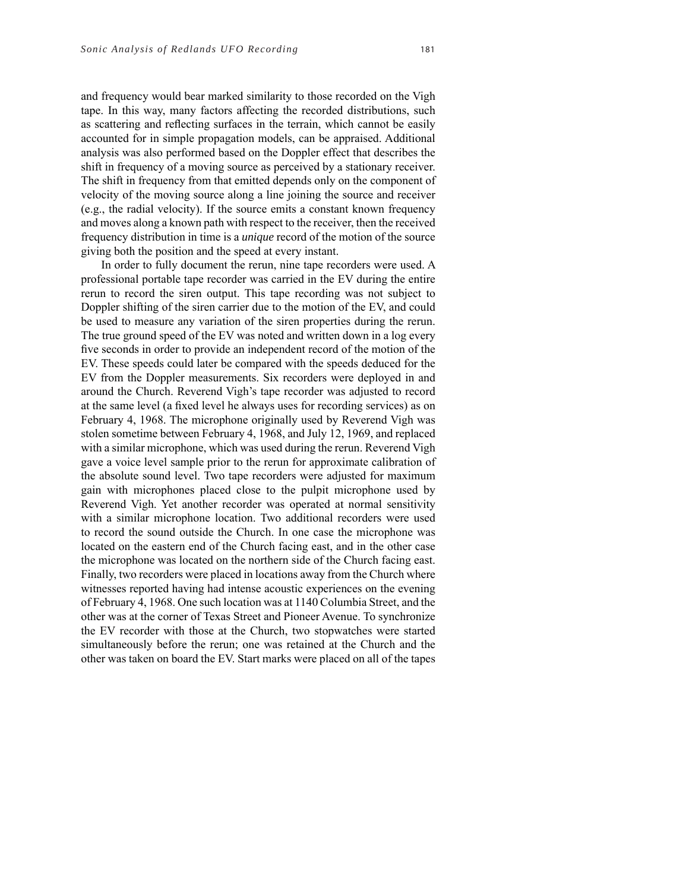and frequency would bear marked similarity to those recorded on the Vigh tape. In this way, many factors affecting the recorded distributions, such as scattering and reflecting surfaces in the terrain, which cannot be easily accounted for in simple propagation models, can be appraised. Additional analysis was also performed based on the Doppler effect that describes the shift in frequency of a moving source as perceived by a stationary receiver. The shift in frequency from that emitted depends only on the component of velocity of the moving source along a line joining the source and receiver (e.g., the radial velocity). If the source emits a constant known frequency and moves along a known path with respect to the receiver, then the received frequency distribution in time is a *unique* record of the motion of the source giving both the position and the speed at every instant.

In order to fully document the rerun, nine tape recorders were used. A professional portable tape recorder was carried in the EV during the entire rerun to record the siren output. This tape recording was not subject to Doppler shifting of the siren carrier due to the motion of the EV, and could be used to measure any variation of the siren properties during the rerun. The true ground speed of the EV was noted and written down in a log every five seconds in order to provide an independent record of the motion of the EV. These speeds could later be compared with the speeds deduced for the EV from the Doppler measurements. Six recorders were deployed in and around the Church. Reverend Vigh's tape recorder was adjusted to record at the same level (a fixed level he always uses for recording services) as on February 4, 1968. The microphone originally used by Reverend Vigh was stolen sometime between February 4, 1968, and July 12, 1969, and replaced with a similar microphone, which was used during the rerun. Reverend Vigh gave a voice level sample prior to the rerun for approximate calibration of the absolute sound level. Two tape recorders were adjusted for maximum gain with microphones placed close to the pulpit microphone used by Reverend Vigh. Yet another recorder was operated at normal sensitivity with a similar microphone location. Two additional recorders were used to record the sound outside the Church. In one case the microphone was located on the eastern end of the Church facing east, and in the other case the microphone was located on the northern side of the Church facing east. Finally, two recorders were placed in locations away from the Church where witnesses reported having had intense acoustic experiences on the evening of February 4, 1968. One such location was at 1140 Columbia Street, and the other was at the corner of Texas Street and Pioneer Avenue. To synchronize the EV recorder with those at the Church, two stopwatches were started simultaneously before the rerun; one was retained at the Church and the other was taken on board the EV. Start marks were placed on all of the tapes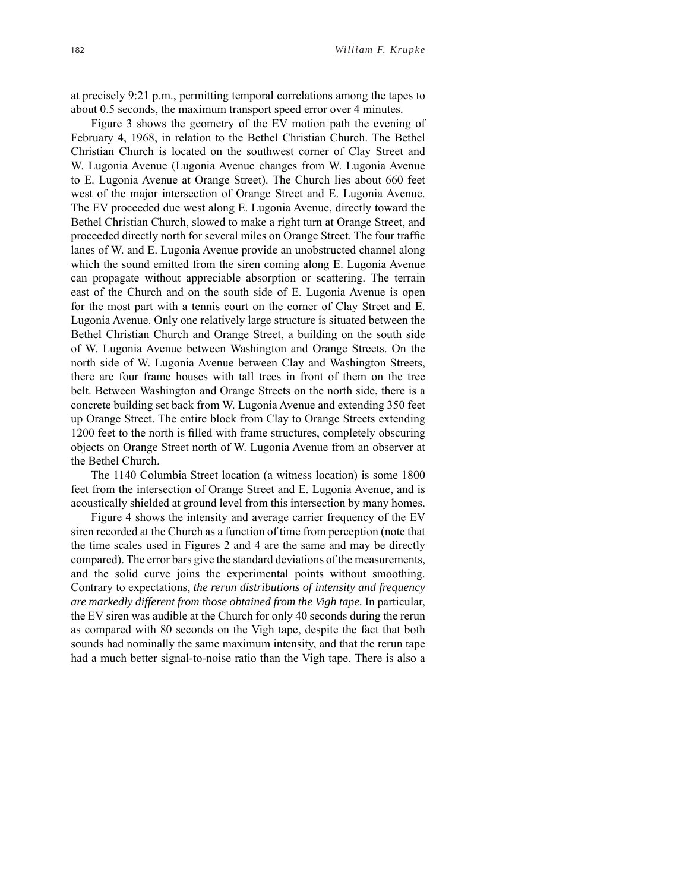at precisely 9:21 p.m., permitting temporal correlations among the tapes to about 0.5 seconds, the maximum transport speed error over 4 minutes.

Figure 3 shows the geometry of the EV motion path the evening of February 4, 1968, in relation to the Bethel Christian Church. The Bethel Christian Church is located on the southwest corner of Clay Street and W. Lugonia Avenue (Lugonia Avenue changes from W. Lugonia Avenue to E. Lugonia Avenue at Orange Street). The Church lies about 660 feet west of the major intersection of Orange Street and E. Lugonia Avenue. The EV proceeded due west along E. Lugonia Avenue, directly toward the Bethel Christian Church, slowed to make a right turn at Orange Street, and proceeded directly north for several miles on Orange Street. The four traffic lanes of W. and E. Lugonia Avenue provide an unobstructed channel along which the sound emitted from the siren coming along E. Lugonia Avenue can propagate without appreciable absorption or scattering. The terrain east of the Church and on the south side of E. Lugonia Avenue is open for the most part with a tennis court on the corner of Clay Street and E. Lugonia Avenue. Only one relatively large structure is situated between the Bethel Christian Church and Orange Street, a building on the south side of W. Lugonia Avenue between Washington and Orange Streets. On the north side of W. Lugonia Avenue between Clay and Washington Streets, there are four frame houses with tall trees in front of them on the tree belt. Between Washington and Orange Streets on the north side, there is a concrete building set back from W. Lugonia Avenue and extending 350 feet up Orange Street. The entire block from Clay to Orange Streets extending 1200 feet to the north is filled with frame structures, completely obscuring objects on Orange Street north of W. Lugonia Avenue from an observer at the Bethel Church.

The 1140 Columbia Street location (a witness location) is some 1800 feet from the intersection of Orange Street and E. Lugonia Avenue, and is acoustically shielded at ground level from this intersection by many homes.

Figure 4 shows the intensity and average carrier frequency of the EV siren recorded at the Church as a function of time from perception (note that the time scales used in Figures 2 and 4 are the same and may be directly compared). The error bars give the standard deviations of the measurements, and the solid curve joins the experimental points without smoothing. Contrary to expectations, *the rerun distributions of intensity and frequency are markedly different from those obtained from the Vigh tape.* In particular, the EV siren was audible at the Church for only 40 seconds during the rerun as compared with 80 seconds on the Vigh tape, despite the fact that both sounds had nominally the same maximum intensity, and that the rerun tape had a much better signal-to-noise ratio than the Vigh tape. There is also a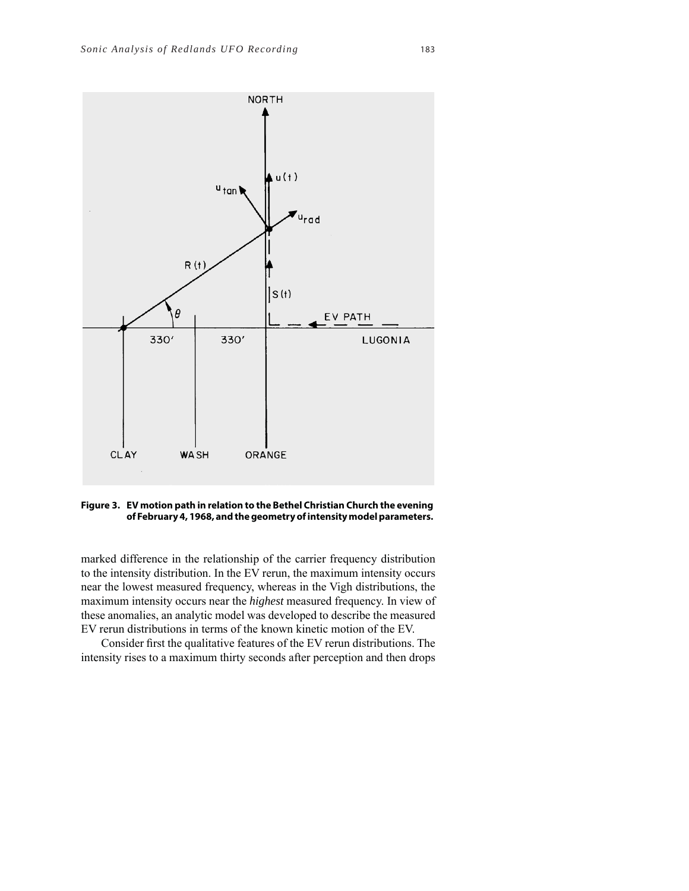

**Figure 3. EV motion path in relation to the Bethel Christian Church the evening of February 4, 1968, and the geometry of intensity model parameters.**

marked difference in the relationship of the carrier frequency distribution to the intensity distribution. In the EV rerun, the maximum intensity occurs near the lowest measured frequency, whereas in the Vigh distributions, the maximum intensity occurs near the *highest* measured frequency. In view of these anomalies, an analytic model was developed to describe the measured EV rerun distributions in terms of the known kinetic motion of the EV.

Consider first the qualitative features of the EV rerun distributions. The intensity rises to a maximum thirty seconds after perception and then drops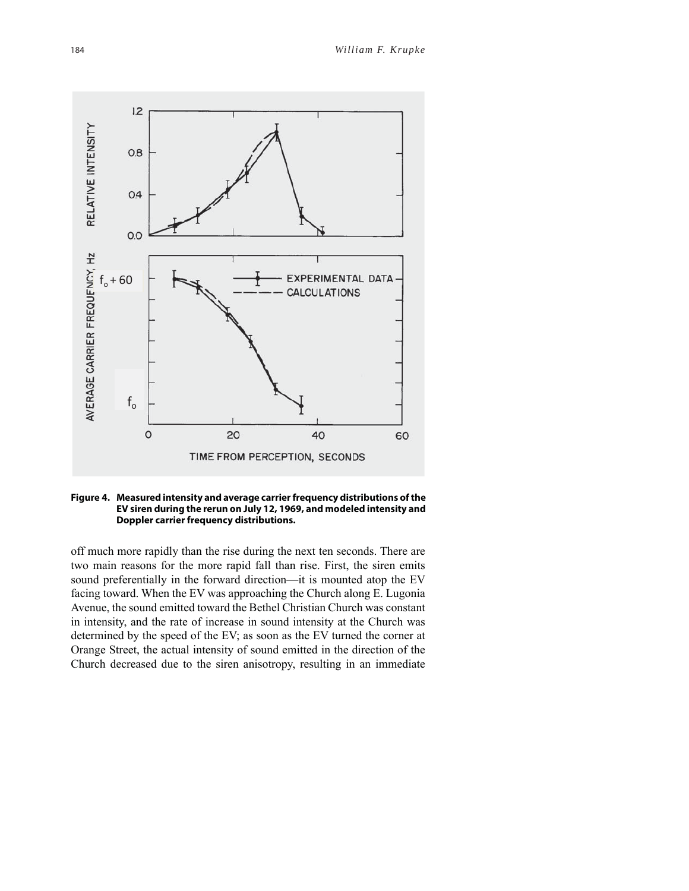

#### **Figure 4. Measured intensity and average carrier frequency distributions of the EV siren during the rerun on July 12, 1969, and modeled intensity and Doppler carrier frequency distributions.**

off much more rapidly than the rise during the next ten seconds. There are two main reasons for the more rapid fall than rise. First, the siren emits sound preferentially in the forward direction—it is mounted atop the EV facing toward. When the EV was approaching the Church along E. Lugonia Avenue, the sound emitted toward the Bethel Christian Church was constant in intensity, and the rate of increase in sound intensity at the Church was determined by the speed of the EV; as soon as the EV turned the corner at Orange Street, the actual intensity of sound emitted in the direction of the Church decreased due to the siren anisotropy, resulting in an immediate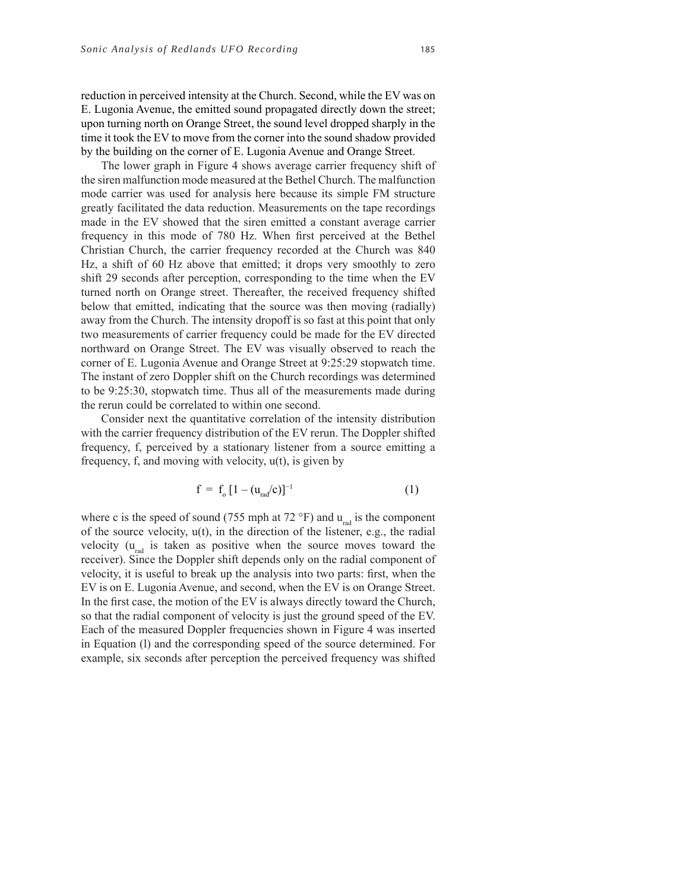reduction in perceived intensity at the Church. Second, while the EV was on E. Lugonia Avenue, the emitted sound propagated directly down the street; upon turning north on Orange Street, the sound level dropped sharply in the time it took the EV to move from the corner into the sound shadow provided by the building on the corner of E. Lugonia Avenue and Orange Street.

The lower graph in Figure 4 shows average carrier frequency shift of the siren malfunction mode measured at the Bethel Church. The malfunction mode carrier was used for analysis here because its simple FM structure greatly facilitated the data reduction. Measurements on the tape recordings made in the EV showed that the siren emitted a constant average carrier frequency in this mode of 780 Hz. When first perceived at the Bethel Christian Church, the carrier frequency recorded at the Church was 840 Hz, a shift of 60 Hz above that emitted; it drops very smoothly to zero shift 29 seconds after perception, corresponding to the time when the EV turned north on Orange street. Thereafter, the received frequency shifted below that emitted, indicating that the source was then moving (radially) away from the Church. The intensity dropoff is so fast at this point that only two measurements of carrier frequency could be made for the EV directed northward on Orange Street. The EV was visually observed to reach the corner of E. Lugonia Avenue and Orange Street at 9:25:29 stopwatch time. The instant of zero Doppler shift on the Church recordings was determined to be 9:25:30, stopwatch time. Thus all of the measurements made during the rerun could be correlated to within one second.

Consider next the quantitative correlation of the intensity distribution with the carrier frequency distribution of the EV rerun. The Doppler shifted frequency, f, perceived by a stationary listener from a source emitting a frequency, f, and moving with velocity,  $u(t)$ , is given by

$$
f = f_0 [1 - (u_{rad}/c)]^{-1}
$$
 (1)

where c is the speed of sound (755 mph at 72  $^{\circ}$ F) and u<sub>rad</sub> is the component of the source velocity, u(t), in the direction of the listener, e.g., the radial velocity  $(u_{rad}$  is taken as positive when the source moves toward the receiver). Since the Doppler shift depends only on the radial component of velocity, it is useful to break up the analysis into two parts: first, when the EV is on E. Lugonia Avenue, and second, when the EV is on Orange Street. In the first case, the motion of the EV is always directly toward the Church, so that the radial component of velocity is just the ground speed of the EV. Each of the measured Doppler frequencies shown in Figure 4 was inserted in Equation (l) and the corresponding speed of the source determined. For example, six seconds after perception the perceived frequency was shifted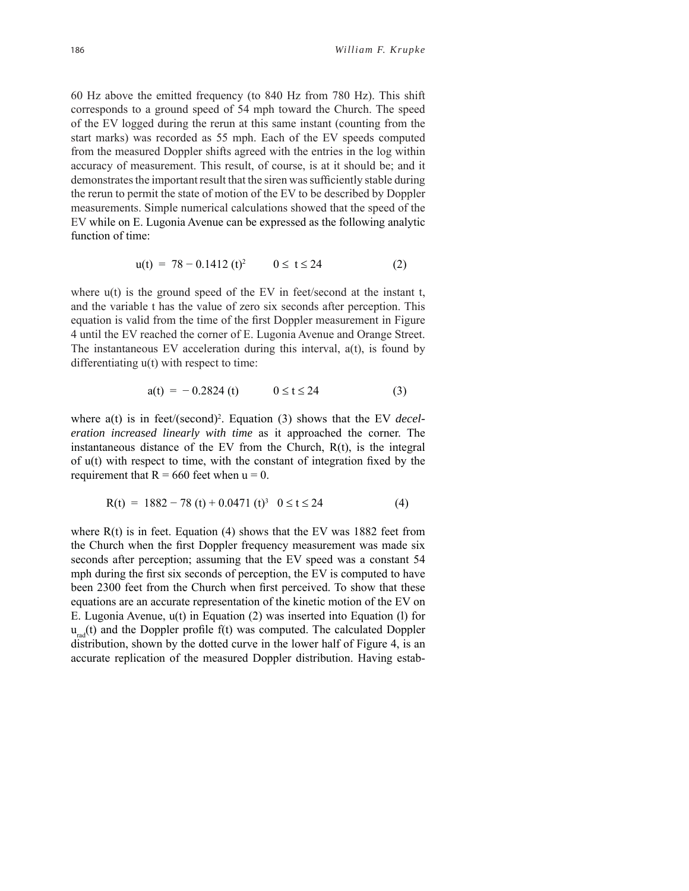60 Hz above the emitted frequency (to 840 Hz from 780 Hz). This shift corresponds to a ground speed of 54 mph toward the Church. The speed of the EV logged during the rerun at this same instant (counting from the start marks) was recorded as 55 mph. Each of the EV speeds computed from the measured Doppler shifts agreed with the entries in the log within accuracy of measurement. This result, of course, is at it should be; and it demonstrates the important result that the siren was sufficiently stable during the rerun to permit the state of motion of the EV to be described by Doppler measurements. Simple numerical calculations showed that the speed of the EV while on E. Lugonia Avenue can be expressed as the following analytic function of time:

$$
u(t) = 78 - 0.1412(t)^2 \qquad 0 \le t \le 24 \tag{2}
$$

where  $u(t)$  is the ground speed of the EV in feet/second at the instant t, and the variable t has the value of zero six seconds after perception. This equation is valid from the time of the first Doppler measurement in Figure 4 until the EV reached the corner of E. Lugonia Avenue and Orange Street. The instantaneous EV acceleration during this interval,  $a(t)$ , is found by differentiating u(t) with respect to time:

$$
a(t) = -0.2824 \text{ (t)} \qquad 0 \le t \le 24 \tag{3}
$$

where a(t) is in feet/(second)<sup>2</sup>. Equation (3) shows that the EV *deceleration increased linearly with time* as it approached the corner. The instantaneous distance of the EV from the Church, R(t), is the integral of  $u(t)$  with respect to time, with the constant of integration fixed by the requirement that  $R = 660$  feet when  $u = 0$ .

$$
R(t) = 1882 - 78(t) + 0.0471(t)^3 \quad 0 \le t \le 24
$$
 (4)

where  $R(t)$  is in feet. Equation (4) shows that the EV was 1882 feet from the Church when the first Doppler frequency measurement was made six seconds after perception; assuming that the EV speed was a constant 54 mph during the first six seconds of perception, the EV is computed to have been 2300 feet from the Church when first perceived. To show that these equations are an accurate representation of the kinetic motion of the EV on E. Lugonia Avenue, u(t) in Equation (2) was inserted into Equation (l) for  $u_{rad}(t)$  and the Doppler profile f(t) was computed. The calculated Doppler distribution, shown by the dotted curve in the lower half of Figure 4, is an accurate replication of the measured Doppler distribution. Having estab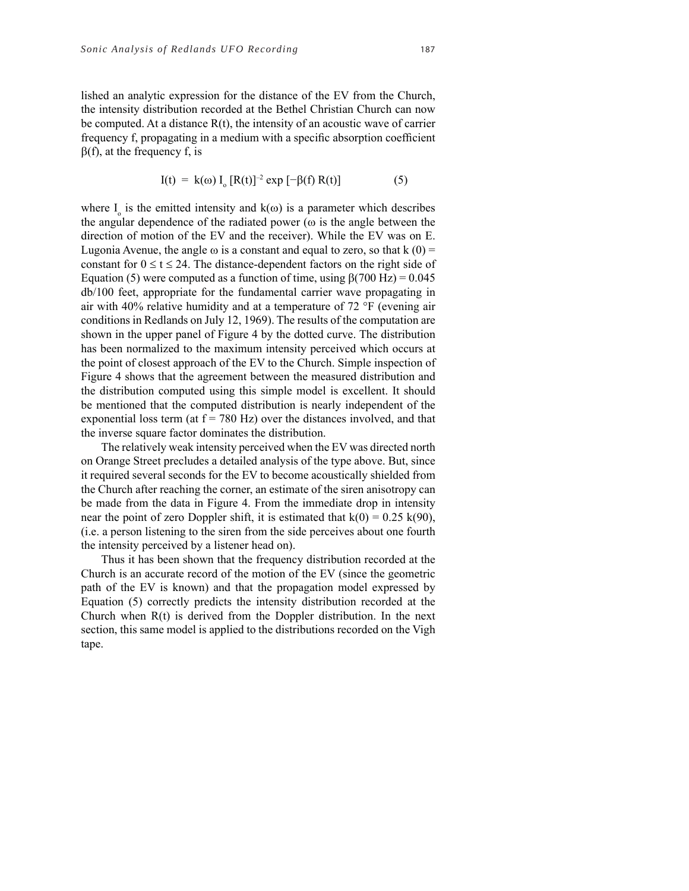lished an analytic expression for the distance of the EV from the Church, the intensity distribution recorded at the Bethel Christian Church can now be computed. At a distance  $R(t)$ , the intensity of an acoustic wave of carrier frequency f, propagating in a medium with a specific absorption coefficient  $\beta(f)$ , at the frequency f, is

$$
I(t) = k(\omega) I_0 [R(t)]^{-2} \exp [-\beta(f) R(t)] \tag{5}
$$

where  $I_0$  is the emitted intensity and  $k(\omega)$  is a parameter which describes the angular dependence of the radiated power ( $\omega$  is the angle between the direction of motion of the EV and the receiver). While the EV was on E. Lugonia Avenue, the angle  $\omega$  is a constant and equal to zero, so that k (0) = constant for  $0 \le t \le 24$ . The distance-dependent factors on the right side of Equation (5) were computed as a function of time, using  $\beta$ (700 Hz) = 0.045 db/100 feet, appropriate for the fundamental carrier wave propagating in air with 40% relative humidity and at a temperature of  $72 \text{ }^{\circ}$ F (evening air conditions in Redlands on July 12, 1969). The results of the computation are shown in the upper panel of Figure 4 by the dotted curve. The distribution has been normalized to the maximum intensity perceived which occurs at the point of closest approach of the EV to the Church. Simple inspection of Figure 4 shows that the agreement between the measured distribution and the distribution computed using this simple model is excellent. It should be mentioned that the computed distribution is nearly independent of the exponential loss term (at  $f = 780$  Hz) over the distances involved, and that the inverse square factor dominates the distribution.

The relatively weak intensity perceived when the EV was directed north on Orange Street precludes a detailed analysis of the type above. But, since it required several seconds for the EV to become acoustically shielded from the Church after reaching the corner, an estimate of the siren anisotropy can be made from the data in Figure 4. From the immediate drop in intensity near the point of zero Doppler shift, it is estimated that  $k(0) = 0.25 k(90)$ , (i.e. a person listening to the siren from the side perceives about one fourth the intensity perceived by a listener head on).

Thus it has been shown that the frequency distribution recorded at the Church is an accurate record of the motion of the EV (since the geometric path of the EV is known) and that the propagation model expressed by Equation (5) correctly predicts the intensity distribution recorded at the Church when  $R(t)$  is derived from the Doppler distribution. In the next section, this same model is applied to the distributions recorded on the Vigh tape.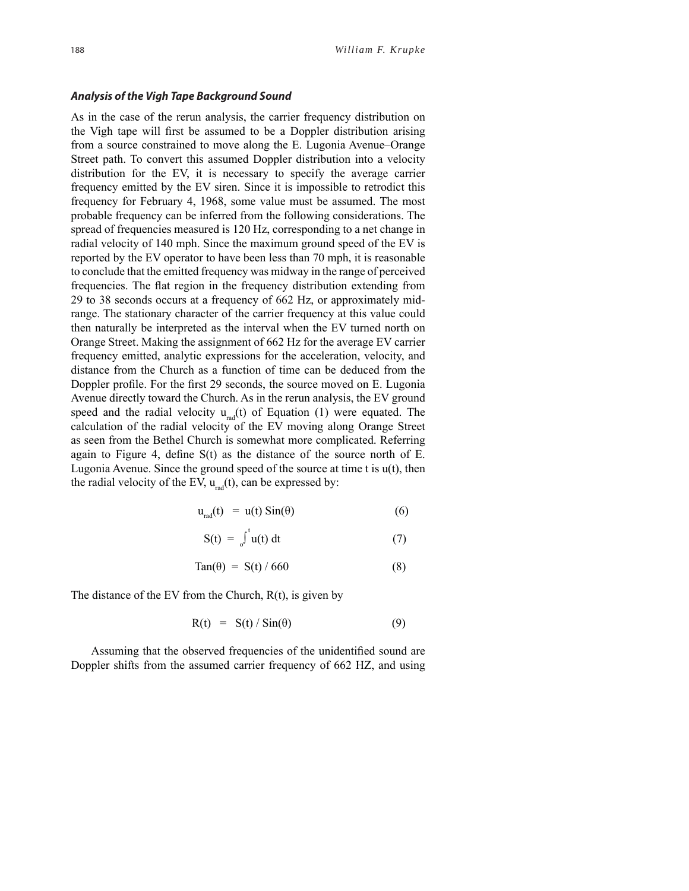#### **Analysis of the Vigh Tape Background Sound**

As in the case of the rerun analysis, the carrier frequency distribution on the Vigh tape will first be assumed to be a Doppler distribution arising from a source constrained to move along the E. Lugonia Avenue–Orange Street path. To convert this assumed Doppler distribution into a velocity distribution for the EV, it is necessary to specify the average carrier frequency emitted by the EV siren. Since it is impossible to retrodict this frequency for February 4, 1968, some value must be assumed. The most probable frequency can be inferred from the following considerations. The spread of frequencies measured is 120 Hz, corresponding to a net change in radial velocity of 140 mph. Since the maximum ground speed of the EV is reported by the EV operator to have been less than 70 mph, it is reasonable to conclude that the emitted frequency was midway in the range of perceived frequencies. The flat region in the frequency distribution extending from 29 to 38 seconds occurs at a frequency of 662 Hz, or approximately midrange. The stationary character of the carrier frequency at this value could then naturally be interpreted as the interval when the EV turned north on Orange Street. Making the assignment of 662 Hz for the average EV carrier frequency emitted, analytic expressions for the acceleration, velocity, and distance from the Church as a function of time can be deduced from the Doppler profile. For the first 29 seconds, the source moved on E. Lugonia Avenue directly toward the Church. As in the rerun analysis, the EV ground speed and the radial velocity  $u_{rad}(t)$  of Equation (1) were equated. The calculation of the radial velocity of the EV moving along Orange Street as seen from the Bethel Church is somewhat more complicated. Referring again to Figure 4, define  $S(t)$  as the distance of the source north of E. Lugonia Avenue. Since the ground speed of the source at time  $t$  is  $u(t)$ , then the radial velocity of the EV,  $u_{rad}(t)$ , can be expressed by:

$$
u_{rad}(t) = u(t) \sin(\theta) \tag{6}
$$

$$
S(t) = \int_0^t u(t) dt
$$
 (7)

$$
\text{Tan}(\theta) = \text{S}(t) / 660 \tag{8}
$$

The distance of the EV from the Church,  $R(t)$ , is given by

$$
R(t) = S(t) / Sin(\theta)
$$
 (9)

Assuming that the observed frequencies of the unidentified sound are Doppler shifts from the assumed carrier frequency of 662 HZ, and using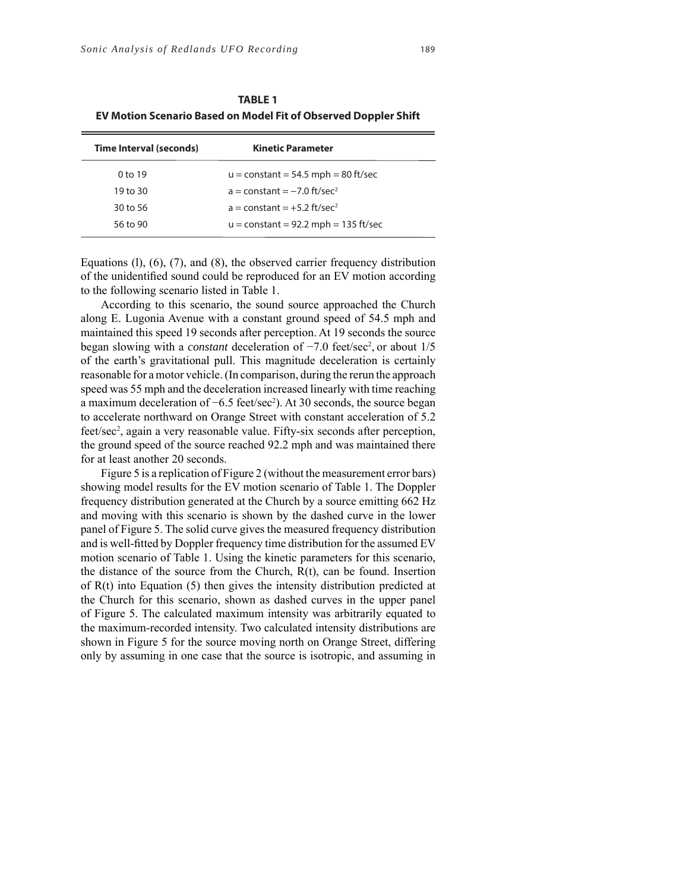| Time Interval (seconds) | <b>Kinetic Parameter</b>                  |
|-------------------------|-------------------------------------------|
| 0 <sub>to 19</sub>      | $u = constant = 54.5$ mph = 80 ft/sec     |
| 19 to 30                | $a = constant = -7.0$ ft/sec <sup>2</sup> |
| 30 to 56                | $a = constant = +5.2$ ft/sec <sup>2</sup> |
| 56 to 90                | $u = constant = 92.2$ mph = 135 ft/sec    |

**TABLE 1 EV Motion Scenario Based on Model Fit of Observed Doppler Shift** 

Equations (l), (6), (7), and (8), the observed carrier frequency distribution of the unidentified sound could be reproduced for an EV motion according to the following scenario listed in Table 1.

According to this scenario, the sound source approached the Church along E. Lugonia Avenue with a constant ground speed of 54.5 mph and maintained this speed 19 seconds after perception. At 19 seconds the source began slowing with a *constant* deceleration of -7.0 feet/sec<sup>2</sup>, or about 1/5 of the earth's gravitational pull. This magnitude deceleration is certainly reasonable for a motor vehicle. (In comparison, during the rerun the approach speed was 55 mph and the deceleration increased linearly with time reaching a maximum deceleration of –6.5 feet/sec<sup>2</sup>). At 30 seconds, the source began to accelerate northward on Orange Street with constant acceleration of 5.2 feet/sec<sup>2</sup>, again a very reasonable value. Fifty-six seconds after perception, the ground speed of the source reached 92.2 mph and was maintained there for at least another 20 seconds.

Figure 5 is a replication of Figure 2 (without the measurement error bars) showing model results for the EV motion scenario of Table 1. The Doppler frequency distribution generated at the Church by a source emitting 662 Hz and moving with this scenario is shown by the dashed curve in the lower panel of Figure 5. The solid curve gives the measured frequency distribution and is well-fitted by Doppler frequency time distribution for the assumed EV motion scenario of Table 1. Using the kinetic parameters for this scenario, the distance of the source from the Church, R(t), can be found. Insertion of R(t) into Equation (5) then gives the intensity distribution predicted at the Church for this scenario, shown as dashed curves in the upper panel of Figure 5. The calculated maximum intensity was arbitrarily equated to the maximum-recorded intensity. Two calculated intensity distributions are shown in Figure 5 for the source moving north on Orange Street, differing only by assuming in one case that the source is isotropic, and assuming in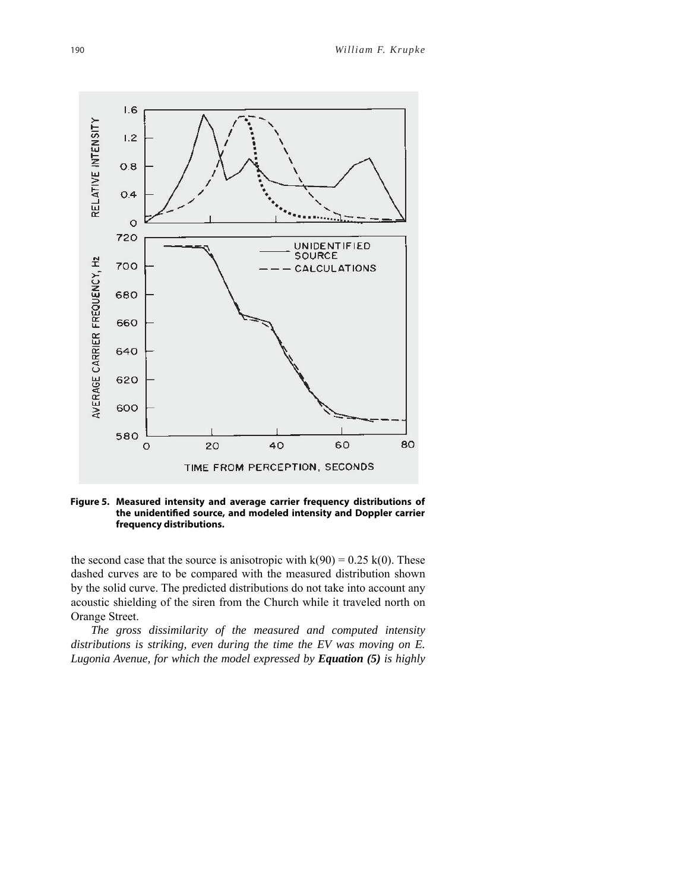

**Figure 5. Measured intensity and average carrier frequency distributions of**  the unidentified source, and modeled intensity and Doppler carrier **frequency distributions.**

the second case that the source is anisotropic with  $k(90) = 0.25 k(0)$ . These dashed curves are to be compared with the measured distribution shown by the solid curve. The predicted distributions do not take into account any acoustic shielding of the siren from the Church while it traveled north on Orange Street.

*The gross dissimilarity of the measured and computed intensity distributions is striking, even during the time the EV was moving on E. Lugonia Avenue, for which the model expressed by Equation (5) is highly*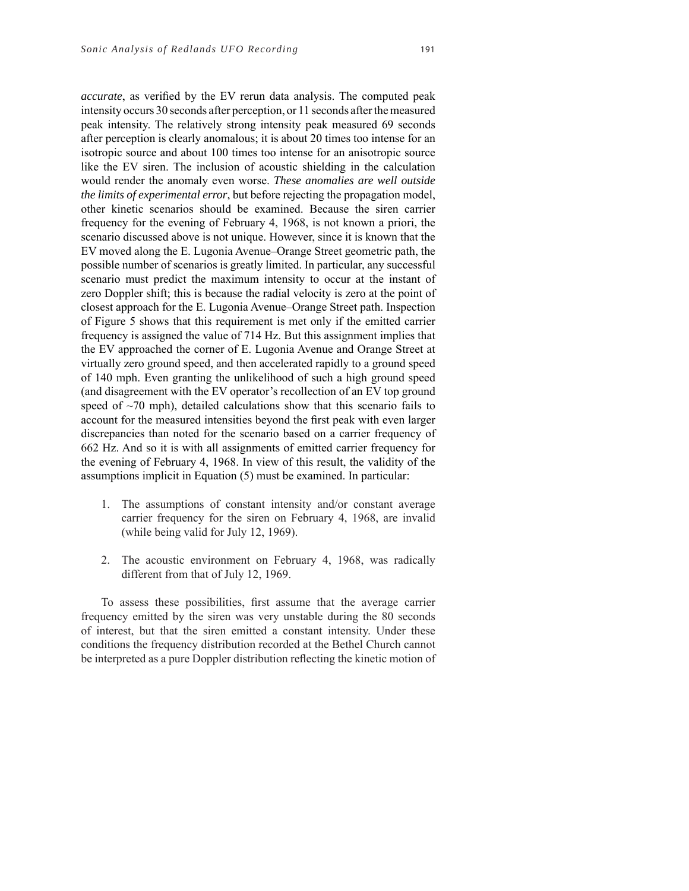*accurate*, as verified by the EV rerun data analysis. The computed peak intensity occurs 30 seconds after perception, or 11 seconds after the measured peak intensity. The relatively strong intensity peak measured 69 seconds after perception is clearly anomalous; it is about 20 times too intense for an isotropic source and about 100 times too intense for an anisotropic source like the EV siren. The inclusion of acoustic shielding in the calculation would render the anomaly even worse. *These anomalies are well outside the limits of experimental error*, but before rejecting the propagation model, other kinetic scenarios should be examined. Because the siren carrier frequency for the evening of February 4, 1968, is not known a priori, the scenario discussed above is not unique. However, since it is known that the EV moved along the E. Lugonia Avenue–Orange Street geometric path, the possible number of scenarios is greatly limited. In particular, any successful scenario must predict the maximum intensity to occur at the instant of zero Doppler shift; this is because the radial velocity is zero at the point of closest approach for the E. Lugonia Avenue–Orange Street path. Inspection of Figure 5 shows that this requirement is met only if the emitted carrier frequency is assigned the value of 714 Hz. But this assignment implies that the EV approached the corner of E. Lugonia Avenue and Orange Street at virtually zero ground speed, and then accelerated rapidly to a ground speed of 140 mph. Even granting the unlikelihood of such a high ground speed (and disagreement with the EV operator's recollection of an EV top ground speed of  $\sim$ 70 mph), detailed calculations show that this scenario fails to account for the measured intensities beyond the first peak with even larger discrepancies than noted for the scenario based on a carrier frequency of 662 Hz. And so it is with all assignments of emitted carrier frequency for the evening of February 4, 1968. In view of this result, the validity of the assumptions implicit in Equation (5) must be examined. In particular:

- 1. The assumptions of constant intensity and/or constant average carrier frequency for the siren on February 4, 1968, are invalid (while being valid for July 12, 1969).
- 2. The acoustic environment on February 4, 1968, was radically different from that of July 12, 1969.

To assess these possibilities, first assume that the average carrier frequency emitted by the siren was very unstable during the 80 seconds of interest, but that the siren emitted a constant intensity. Under these conditions the frequency distribution recorded at the Bethel Church cannot be interpreted as a pure Doppler distribution reflecting the kinetic motion of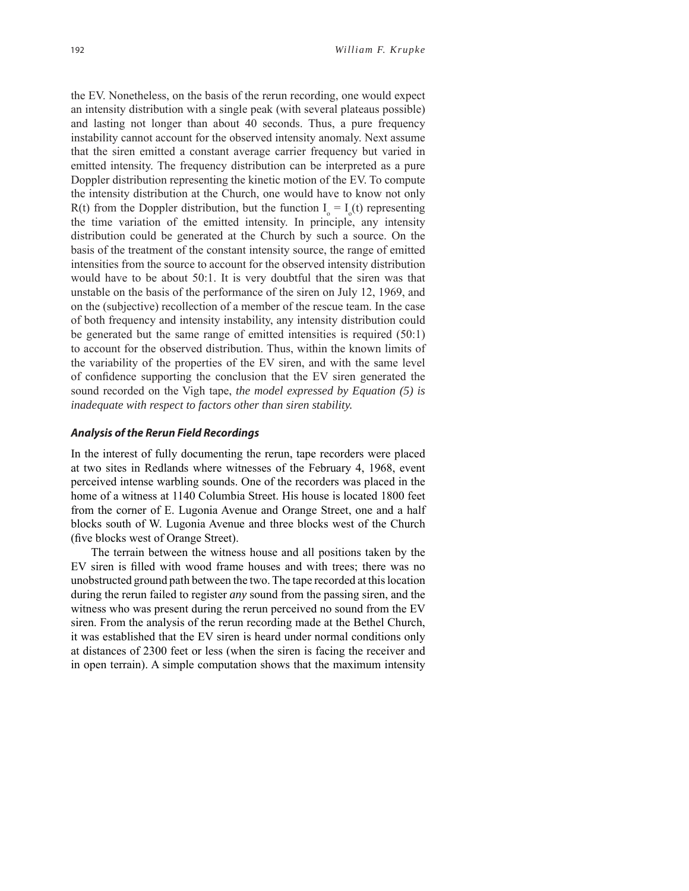the EV. Nonetheless, on the basis of the rerun recording, one would expect an intensity distribution with a single peak (with several plateaus possible) and lasting not longer than about 40 seconds. Thus, a pure frequency instability cannot account for the observed intensity anomaly. Next assume that the siren emitted a constant average carrier frequency but varied in emitted intensity. The frequency distribution can be interpreted as a pure Doppler distribution representing the kinetic motion of the EV. To compute the intensity distribution at the Church, one would have to know not only R(t) from the Doppler distribution, but the function  $I_0 = I_0(t)$  representing the time variation of the emitted intensity. In principle, any intensity distribution could be generated at the Church by such a source. On the basis of the treatment of the constant intensity source, the range of emitted intensities from the source to account for the observed intensity distribution would have to be about 50:1. It is very doubtful that the siren was that unstable on the basis of the performance of the siren on July 12, 1969, and on the (subjective) recollection of a member of the rescue team. In the case of both frequency and intensity instability, any intensity distribution could be generated but the same range of emitted intensities is required (50:1) to account for the observed distribution. Thus, within the known limits of the variability of the properties of the EV siren, and with the same level of confidence supporting the conclusion that the EV siren generated the sound recorded on the Vigh tape, *the model expressed by Equation (5) is inadequate with respect to factors other than siren stability.*

#### **Analysis of the Rerun Field Recordings**

In the interest of fully documenting the rerun, tape recorders were placed at two sites in Redlands where witnesses of the February 4, 1968, event perceived intense warbling sounds. One of the recorders was placed in the home of a witness at 1140 Columbia Street. His house is located 1800 feet from the corner of E. Lugonia Avenue and Orange Street, one and a half blocks south of W. Lugonia Avenue and three blocks west of the Church (five blocks west of Orange Street).

The terrain between the witness house and all positions taken by the EV siren is filled with wood frame houses and with trees; there was no unobstructed ground path between the two. The tape recorded at this location during the rerun failed to register *any* sound from the passing siren, and the witness who was present during the rerun perceived no sound from the EV siren. From the analysis of the rerun recording made at the Bethel Church, it was established that the EV siren is heard under normal conditions only at distances of 2300 feet or less (when the siren is facing the receiver and in open terrain). A simple computation shows that the maximum intensity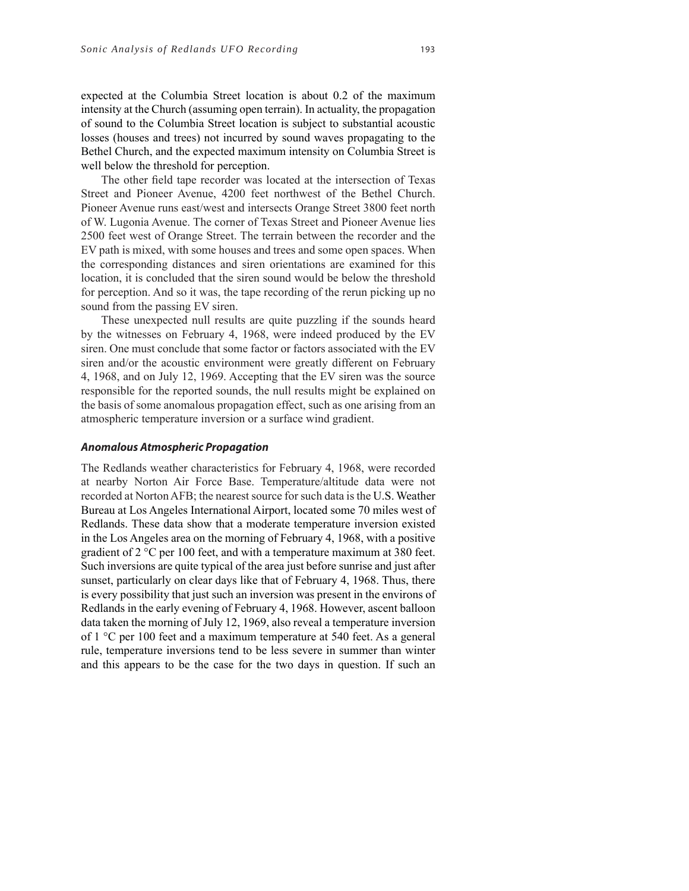expected at the Columbia Street location is about 0.2 of the maximum intensity at the Church (assuming open terrain). In actuality, the propagation of sound to the Columbia Street location is subject to substantial acoustic losses (houses and trees) not incurred by sound waves propagating to the Bethel Church, and the expected maximum intensity on Columbia Street is well below the threshold for perception.

The other field tape recorder was located at the intersection of Texas Street and Pioneer Avenue, 4200 feet northwest of the Bethel Church. Pioneer Avenue runs east/west and intersects Orange Street 3800 feet north of W. Lugonia Avenue. The corner of Texas Street and Pioneer Avenue lies 2500 feet west of Orange Street. The terrain between the recorder and the EV path is mixed, with some houses and trees and some open spaces. When the corresponding distances and siren orientations are examined for this location, it is concluded that the siren sound would be below the threshold for perception. And so it was, the tape recording of the rerun picking up no sound from the passing EV siren.

These unexpected null results are quite puzzling if the sounds heard by the witnesses on February 4, 1968, were indeed produced by the EV siren. One must conclude that some factor or factors associated with the EV siren and/or the acoustic environment were greatly different on February 4, 1968, and on July 12, 1969. Accepting that the EV siren was the source responsible for the reported sounds, the null results might be explained on the basis of some anomalous propagation effect, such as one arising from an atmospheric temperature inversion or a surface wind gradient.

#### **Anomalous Atmospheric Propagation**

The Redlands weather characteristics for February 4, 1968, were recorded at nearby Norton Air Force Base. Temperature/altitude data were not recorded at Norton AFB; the nearest source for such data is the U.S. Weather Bureau at Los Angeles International Airport, located some 70 miles west of Redlands. These data show that a moderate temperature inversion existed in the Los Angeles area on the morning of February 4, 1968, with a positive gradient of 2 °C per 100 feet, and with a temperature maximum at 380 feet. Such inversions are quite typical of the area just before sunrise and just after sunset, particularly on clear days like that of February 4, 1968. Thus, there is every possibility that just such an inversion was present in the environs of Redlands in the early evening of February 4, 1968. However, ascent balloon data taken the morning of July 12, 1969, also reveal a temperature inversion of 1 °C per 100 feet and a maximum temperature at 540 feet. As a general rule, temperature inversions tend to be less severe in summer than winter and this appears to be the case for the two days in question. If such an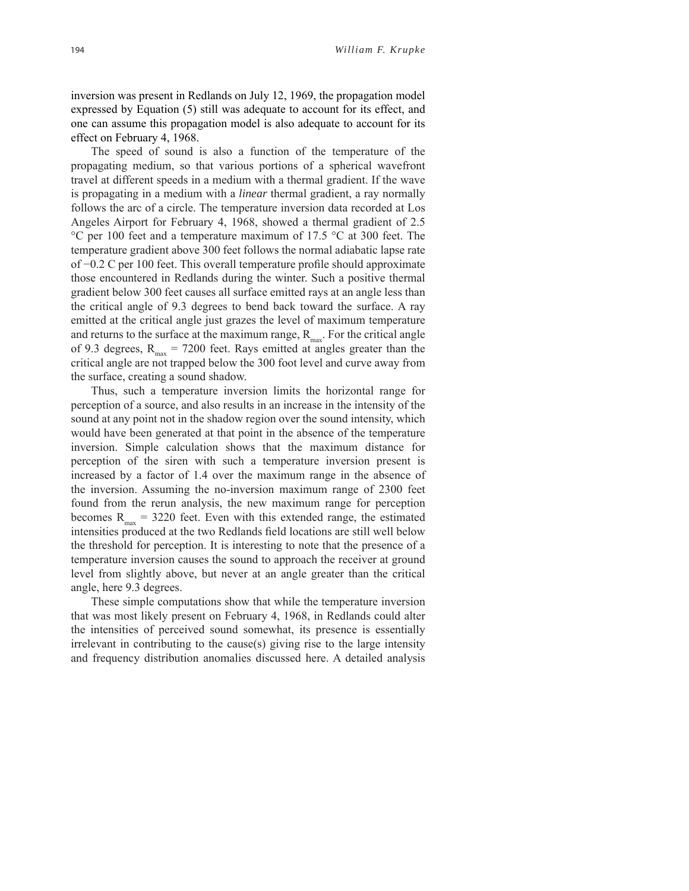inversion was present in Redlands on July 12, 1969, the propagation model expressed by Equation (5) still was adequate to account for its effect, and one can assume this propagation model is also adequate to account for its effect on February 4, 1968.

The speed of sound is also a function of the temperature of the propagating medium, so that various portions of a spherical wavefront travel at different speeds in a medium with a thermal gradient. If the wave is propagating in a medium with a *linear* thermal gradient, a ray normally follows the arc of a circle. The temperature inversion data recorded at Los Angeles Airport for February 4, 1968, showed a thermal gradient of 2.5 °C per 100 feet and a temperature maximum of 17.5 °C at 300 feet. The temperature gradient above 300 feet follows the normal adiabatic lapse rate of −0.2 C per 100 feet. This overall temperature profile should approximate those encountered in Redlands during the winter. Such a positive thermal gradient below 300 feet causes all surface emitted rays at an angle less than the critical angle of 9.3 degrees to bend back toward the surface. A ray emitted at the critical angle just grazes the level of maximum temperature and returns to the surface at the maximum range,  $R_{\text{max}}$ . For the critical angle of 9.3 degrees,  $R_{max} = 7200$  feet. Rays emitted at angles greater than the critical angle are not trapped below the 300 foot level and curve away from the surface, creating a sound shadow.

Thus, such a temperature inversion limits the horizontal range for perception of a source, and also results in an increase in the intensity of the sound at any point not in the shadow region over the sound intensity, which would have been generated at that point in the absence of the temperature inversion. Simple calculation shows that the maximum distance for perception of the siren with such a temperature inversion present is increased by a factor of 1.4 over the maximum range in the absence of the inversion. Assuming the no-inversion maximum range of 2300 feet found from the rerun analysis, the new maximum range for perception becomes  $R_{\text{max}} = 3220$  feet. Even with this extended range, the estimated intensities produced at the two Redlands field locations are still well below the threshold for perception. It is interesting to note that the presence of a temperature inversion causes the sound to approach the receiver at ground level from slightly above, but never at an angle greater than the critical angle, here 9.3 degrees.

These simple computations show that while the temperature inversion that was most likely present on February 4, 1968, in Redlands could alter the intensities of perceived sound somewhat, its presence is essentially irrelevant in contributing to the cause(s) giving rise to the large intensity and frequency distribution anomalies discussed here. A detailed analysis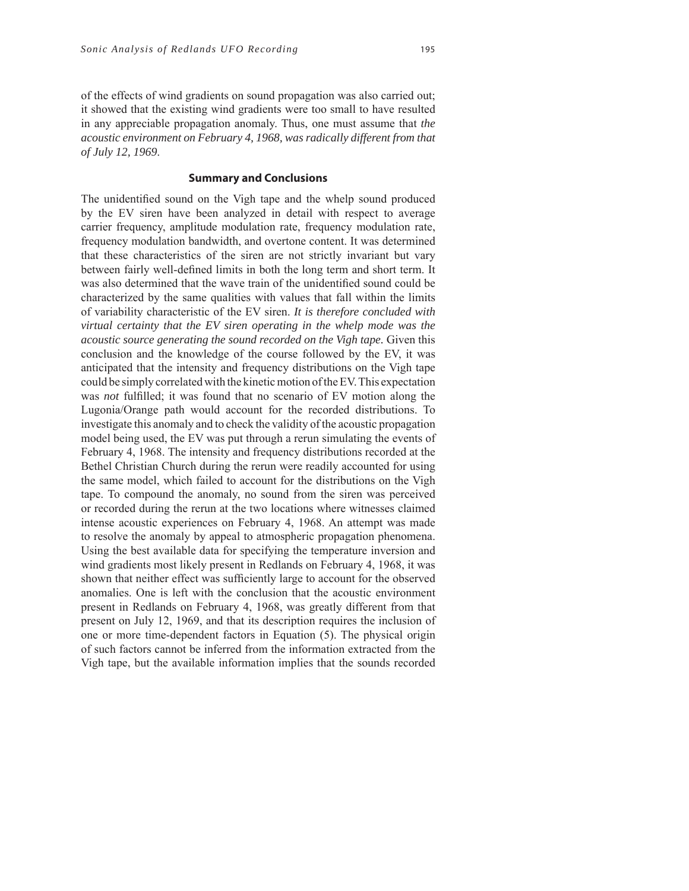of the effects of wind gradients on sound propagation was also carried out; it showed that the existing wind gradients were too small to have resulted in any appreciable propagation anomaly. Thus, one must assume that *the acoustic environment on February 4, 1968, was radically different from that of July 12, 1969*.

## **Summary and Conclusions**

The unidentified sound on the Vigh tape and the whelp sound produced by the EV siren have been analyzed in detail with respect to average carrier frequency, amplitude modulation rate, frequency modulation rate, frequency modulation bandwidth, and overtone content. It was determined that these characteristics of the siren are not strictly invariant but vary between fairly well-defined limits in both the long term and short term. It was also determined that the wave train of the unidentified sound could be characterized by the same qualities with values that fall within the limits of variability characteristic of the EV siren. *It is therefore concluded with virtual certainty that the EV siren operating in the whelp mode was the acoustic source generating the sound recorded on the Vigh tape.* Given this conclusion and the knowledge of the course followed by the EV, it was anticipated that the intensity and frequency distributions on the Vigh tape could be simply correlated with the kinetic motion of the EV. This expectation was *not* fulfilled; it was found that no scenario of EV motion along the Lugonia/Orange path would account for the recorded distributions. To investigate this anomaly and to check the validity of the acoustic propagation model being used, the EV was put through a rerun simulating the events of February 4, 1968. The intensity and frequency distributions recorded at the Bethel Christian Church during the rerun were readily accounted for using the same model, which failed to account for the distributions on the Vigh tape. To compound the anomaly, no sound from the siren was perceived or recorded during the rerun at the two locations where witnesses claimed intense acoustic experiences on February 4, 1968. An attempt was made to resolve the anomaly by appeal to atmospheric propagation phenomena. Using the best available data for specifying the temperature inversion and wind gradients most likely present in Redlands on February 4, 1968, it was shown that neither effect was sufficiently large to account for the observed anomalies. One is left with the conclusion that the acoustic environment present in Redlands on February 4, 1968, was greatly different from that present on July 12, 1969, and that its description requires the inclusion of one or more time-dependent factors in Equation (5). The physical origin of such factors cannot be inferred from the information extracted from the Vigh tape, but the available information implies that the sounds recorded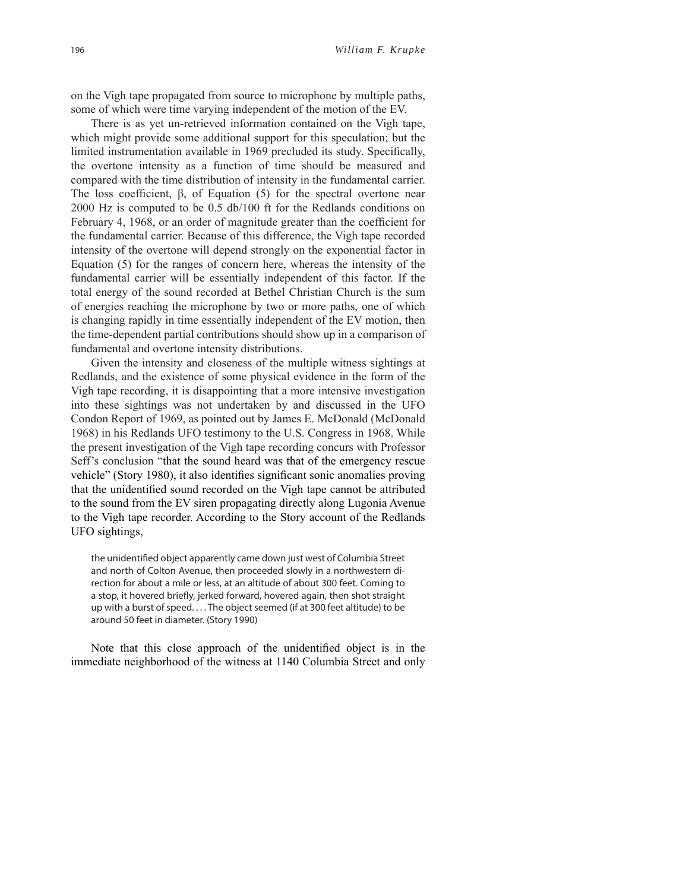on the Vigh tape propagated from source to microphone by multiple paths, some of which were time varying independent of the motion of the EV.

There is as yet un-retrieved information contained on the Vigh tape, which might provide some additional support for this speculation; but the limited instrumentation available in 1969 precluded its study. Specifically, the overtone intensity as a function of time should be measured and compared with the time distribution of intensity in the fundamental carrier. The loss coefficient,  $\beta$ , of Equation (5) for the spectral overtone near 2000 Hz is computed to be 0.5 db/100 ft for the Redlands conditions on February 4, 1968, or an order of magnitude greater than the coefficient for the fundamental carrier. Because of this difference, the Vigh tape recorded intensity of the overtone will depend strongly on the exponential factor in Equation (5) for the ranges of concern here, whereas the intensity of the fundamental carrier will be essentially independent of this factor. If the total energy of the sound recorded at Bethel Christian Church is the sum of energies reaching the microphone by two or more paths, one of which is changing rapidly in time essentially independent of the EV motion, then the time-dependent partial contributions should show up in a comparison of fundamental and overtone intensity distributions.

Given the intensity and closeness of the multiple witness sightings at Redlands, and the existence of some physical evidence in the form of the Vigh tape recording, it is disappointing that a more intensive investigation into these sightings was not undertaken by and discussed in the UFO Condon Report of 1969, as pointed out by James E. McDonald (McDonald 1968) in his Redlands UFO testimony to the U.S. Congress in 1968. While the present investigation of the Vigh tape recording concurs with Professor Seff's conclusion "that the sound heard was that of the emergency rescue vehicle" (Story 1980), it also identifies significant sonic anomalies proving that the unidentified sound recorded on the Vigh tape cannot be attributed to the sound from the EV siren propagating directly along Lugonia Avenue to the Vigh tape recorder. According to the Story account of the Redlands UFO sightings,

the unidentified object apparently came down just west of Columbia Street and north of Colton Avenue, then proceeded slowly in a northwestern direction for about a mile or less, at an altitude of about 300 feet. Coming to a stop, it hovered briefly, jerked forward, hovered again, then shot straight up with a burst of speed. . . . The object seemed (if at 300 feet altitude) to be around 50 feet in diameter. (Story 1990)

Note that this close approach of the unidentified object is in the immediate neighborhood of the witness at 1140 Columbia Street and only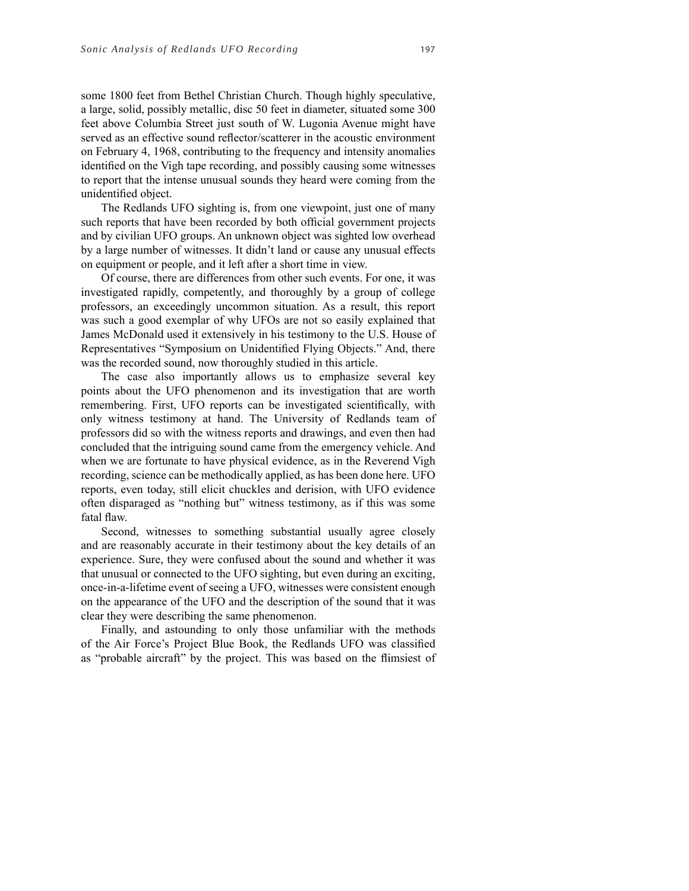some 1800 feet from Bethel Christian Church. Though highly speculative, a large, solid, possibly metallic, disc 50 feet in diameter, situated some 300 feet above Columbia Street just south of W. Lugonia Avenue might have served as an effective sound reflector/scatterer in the acoustic environment on February 4, 1968, contributing to the frequency and intensity anomalies identified on the Vigh tape recording, and possibly causing some witnesses to report that the intense unusual sounds they heard were coming from the unidentified object.

The Redlands UFO sighting is, from one viewpoint, just one of many such reports that have been recorded by both official government projects and by civilian UFO groups. An unknown object was sighted low overhead by a large number of witnesses. It didn't land or cause any unusual effects on equipment or people, and it left after a short time in view.

Of course, there are differences from other such events. For one, it was investigated rapidly, competently, and thoroughly by a group of college professors, an exceedingly uncommon situation. As a result, this report was such a good exemplar of why UFOs are not so easily explained that James McDonald used it extensively in his testimony to the U.S. House of Representatives "Symposium on Unidentified Flying Objects." And, there was the recorded sound, now thoroughly studied in this article.

The case also importantly allows us to emphasize several key points about the UFO phenomenon and its investigation that are worth remembering. First, UFO reports can be investigated scientifically, with only witness testimony at hand. The University of Redlands team of professors did so with the witness reports and drawings, and even then had concluded that the intriguing sound came from the emergency vehicle. And when we are fortunate to have physical evidence, as in the Reverend Vigh recording, science can be methodically applied, as has been done here. UFO reports, even today, still elicit chuckles and derision, with UFO evidence often disparaged as "nothing but" witness testimony, as if this was some fatal flaw.

Second, witnesses to something substantial usually agree closely and are reasonably accurate in their testimony about the key details of an experience. Sure, they were confused about the sound and whether it was that unusual or connected to the UFO sighting, but even during an exciting, once-in-a-lifetime event of seeing a UFO, witnesses were consistent enough on the appearance of the UFO and the description of the sound that it was clear they were describing the same phenomenon.

Finally, and astounding to only those unfamiliar with the methods of the Air Force's Project Blue Book, the Redlands UFO was classified as "probable aircraft" by the project. This was based on the flimsiest of